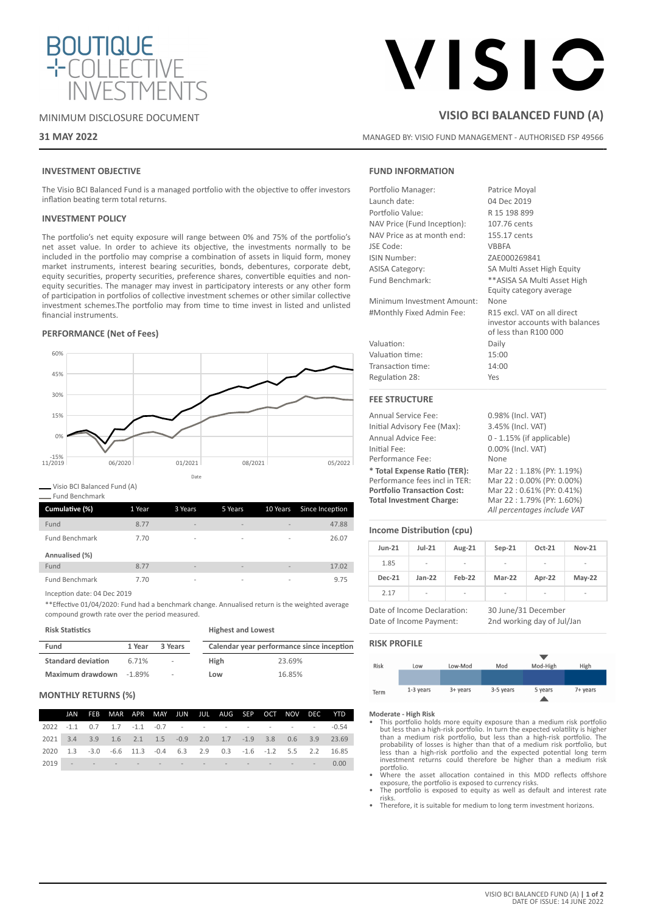

## MINIMUM DISCLOSURE DOCUMENT

## **31 MAY 2022**

# VISIC

## **VISIO BCI BALANCED FUND (A)**

MANAGED BY: VISIO FUND MANAGEMENT - AUTHORISED FSP 49566

## **INVESTMENT OBJECTIVE**

The Visio BCI Balanced Fund is a managed portfolio with the objective to offer investors inflation beating term total returns.

## **INVESTMENT POLICY**

The portfolio's net equity exposure will range between 0% and 75% of the portfolio's net asset value. In order to achieve its objective, the investments normally to be included in the portfolio may comprise a combination of assets in liquid form, money market instruments, interest bearing securities, bonds, debentures, corporate debt, equity securities, property securities, preference shares, convertible equities and nonequity securities. The manager may invest in participatory interests or any other form of participation in portfolios of collective investment schemes or other similar collective investment schemes.The portfolio may from time to time invest in listed and unlisted financial instruments.

## **PERFORMANCE (Net of Fees)**



Visio BCI Balanced Fund (A)

Fund Benchmark

| Cumulative (%)        | 1 Year | 3 Years                  | 5 Years                  | 10 Years                 | Since Inception |
|-----------------------|--------|--------------------------|--------------------------|--------------------------|-----------------|
| Fund                  | 8.77   | $\overline{\phantom{a}}$ | $\overline{\phantom{a}}$ | $\overline{\phantom{a}}$ | 47.88           |
| <b>Fund Benchmark</b> | 7.70   | $\sim$                   | $\overline{\phantom{a}}$ | $\overline{\phantom{a}}$ | 26.07           |
| Annualised (%)        |        |                          |                          |                          |                 |
| Fund                  | 8.77   | $\overline{\phantom{a}}$ | $\overline{\phantom{a}}$ | $\overline{\phantom{a}}$ | 17.02           |
| <b>Fund Benchmark</b> | 7.70   | $\overline{\phantom{a}}$ | $\overline{\phantom{a}}$ | ۰                        | 9.75            |

Inception date: 04 Dec 2019

\*\*Effective 01/04/2020: Fund had a benchmark change. Annualised return is the weighted average compound growth rate over the period measured.

## **Risk Statistics**

| <b>Highest and Lowest</b> |  |
|---------------------------|--|
|                           |  |

| Fund                      | 1 Year   | 3 Years | Calendar year performance since inception |        |  |  |
|---------------------------|----------|---------|-------------------------------------------|--------|--|--|
| <b>Standard deviation</b> | 6.71%    | $\sim$  | High                                      | 23.69% |  |  |
| Maximum drawdown          | $-1.89%$ | $\sim$  | Low                                       | 16.85% |  |  |

## **MONTHLY RETURNS (%)**

|  | JAN FEB MAR APR MAY JUN JUL AUG SEP OCT NOV DEC YTD          |  |  |  |  |                                                                  |
|--|--------------------------------------------------------------|--|--|--|--|------------------------------------------------------------------|
|  | 2022 -1.1 0.7 1.7 -1.1 -0.7 - - - - - - - - - - - -0.54      |  |  |  |  |                                                                  |
|  | 2021 3.4 3.9 1.6 2.1 1.5 -0.9 2.0 1.7 -1.9 3.8 0.6 3.9 23.69 |  |  |  |  |                                                                  |
|  |                                                              |  |  |  |  | 2020 1.3 -3.0 -6.6 11.3 -0.4 6.3 2.9 0.3 -1.6 -1.2 5.5 2.2 16.85 |
|  | 2019 - - - - - - - - - - - - - - 0.00                        |  |  |  |  |                                                                  |

## **FUND INFORMATION**

| Portfolio Manager:          | Patrice Moyal                                                                           |
|-----------------------------|-----------------------------------------------------------------------------------------|
| Launch date:                | 04 Dec 2019                                                                             |
| Portfolio Value:            | R 15 198 899                                                                            |
| NAV Price (Fund Inception): | 107.76 cents                                                                            |
| NAV Price as at month end:  | 155.17 cents                                                                            |
| JSE Code:                   | <b>VBBFA</b>                                                                            |
| ISIN Number:                | ZAE000269841                                                                            |
| <b>ASISA Category:</b>      | SA Multi Asset High Equity                                                              |
| Fund Benchmark:             | ** ASISA SA Multi Asset High                                                            |
|                             | Equity category average                                                                 |
| Minimum Investment Amount:  | None                                                                                    |
| #Monthly Fixed Admin Fee:   | R15 excl. VAT on all direct<br>investor accounts with balances<br>of less than R100 000 |
| Valuation:                  | Daily                                                                                   |
| Valuation time:             | 15:00                                                                                   |
| Transaction time:           | 14:00                                                                                   |
| Regulation 28:              | Yes                                                                                     |
| <b>FEE STRUCTURE</b>        |                                                                                         |

| Annual Service Fee:                | 0.98% (Incl. VAT)            |
|------------------------------------|------------------------------|
| Initial Advisory Fee (Max):        | 3.45% (Incl. VAT)            |
| Annual Advice Fee:                 | $0 - 1.15\%$ (if applicable) |
| Initial Fee:                       | 0.00% (Incl. VAT)            |
| Performance Fee:                   | None                         |
| * Total Expense Ratio (TER):       | Mar 22: 1.18% (PY: 1.19%)    |
| Performance fees incl in TER:      | Mar 22:0.00% (PY: 0.00%)     |
| <b>Portfolio Transaction Cost:</b> | Mar 22:0.61% (PY: 0.41%)     |
| <b>Total Investment Charge:</b>    | Mar 22:1.79% (PY: 1.60%)     |
|                                    | All percentages include VAT  |

## **Income Distribution (cpu)**

| <b>Jun-21</b> | $Jul-21$ | Aug-21                   | $Sep-21$ | Oct-21                   | <b>Nov-21</b>            |
|---------------|----------|--------------------------|----------|--------------------------|--------------------------|
| 1.85          | ۰        | $\overline{\phantom{a}}$ | ٠        | $\overline{\phantom{a}}$ | $\overline{\phantom{0}}$ |
| <b>Dec-21</b> | $Jan-22$ | Feb-22                   | Mar-22   | Apr-22                   | $May-22$                 |
| 2.17          | -        | -                        | ۰        | ۰                        | -                        |

Date of Income Declaration: 30 June/31 December Date of Income Payment: 2nd working day of Jul/Jan

## **RISK PROFILE**



- **Moderate High Risk** This portfolio holds more equity exposure than a medium risk portfolio but less than a high-risk portfolio. In turn the expected volatility is higher<br>than a medium risk portfolio, but less than a high-risk portfolio. The<br>probability of losses is higher than that of a medium risk portfolio, bu portfolio.
- Where the asset allocation contained in this MDD reflects offshore exposure, the portfolio is exposed to currency risks.
- The portfolio is exposed to equity as well as default and interest rate risks.
- Therefore, it is suitable for medium to long term investment horizons.